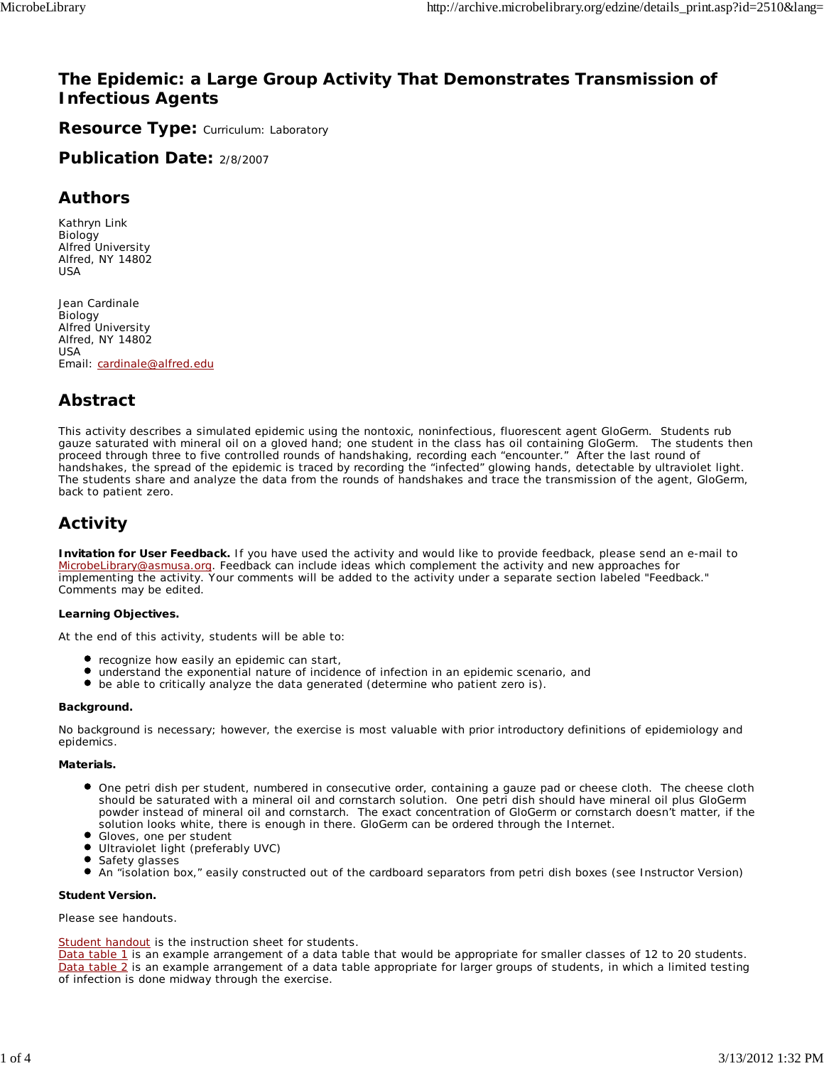# **The Epidemic: a Large Group Activity That Demonstrates Transmission of Infectious Agents**

**Resource Type: Curriculum: Laboratory** 

**Publication Date:** 2/8/2007

## **Authors**

*Kathryn Link* Biology Alfred University Alfred, NY 14802 USA

*Jean Cardinale* Biology Alfred University Alfred, NY 14802 USA Email: cardinale@alfred.edu

# **Abstract**

This activity describes a simulated epidemic using the nontoxic, noninfectious, fluorescent agent GloGerm. Students rub gauze saturated with mineral oil on a gloved hand; one student in the class has oil containing GloGerm. The students then proceed through three to five controlled rounds of handshaking, recording each "encounter." After the last round of handshakes, the spread of the epidemic is traced by recording the "infected" glowing hands, detectable by ultraviolet light. The students share and analyze the data from the rounds of handshakes and trace the transmission of the agent, GloGerm, back to patient zero.

# **Activity**

**Invitation for User Feedback.** If you have used the activity and would like to provide feedback, please send an e-mail to MicrobeLibrary@asmusa.org. Feedback can include ideas which complement the activity and new approaches for implementing the activity. Your comments will be added to the activity under a separate section labeled "Feedback." Comments may be edited.

#### **Learning Objectives.**

At the end of this activity, students will be able to:

- recognize how easily an epidemic can start,
- understand the exponential nature of incidence of infection in an epidemic scenario, and
- $\bullet$ be able to critically analyze the data generated (determine who patient zero is).

#### **Background.**

No background is necessary; however, the exercise is most valuable with prior introductory definitions of epidemiology and epidemics.

#### **Materials.**

- One petri dish per student, numbered in consecutive order, containing a gauze pad or cheese cloth. The cheese cloth should be saturated with a mineral oil and cornstarch solution. One petri dish should have mineral oil plus GloGerm powder instead of mineral oil and cornstarch. The exact concentration of GloGerm or cornstarch doesn't matter, if the solution looks white, there is enough in there. GloGerm can be ordered through the Internet.
- Gloves, one per student
- Ultraviolet light (preferably UVC)
- $\bullet$ Safety glasses
- $\bullet$ An "isolation box," easily constructed out of the cardboard separators from petri dish boxes (see Instructor Version)

#### **Student Version.**

Please see handouts.

#### Student handout is the instruction sheet for students.

Data table 1 is an example arrangement of a data table that would be appropriate for smaller classes of 12 to 20 students. Data table 2 is an example arrangement of a data table appropriate for larger groups of students, in which a limited testing of infection is done midway through the exercise.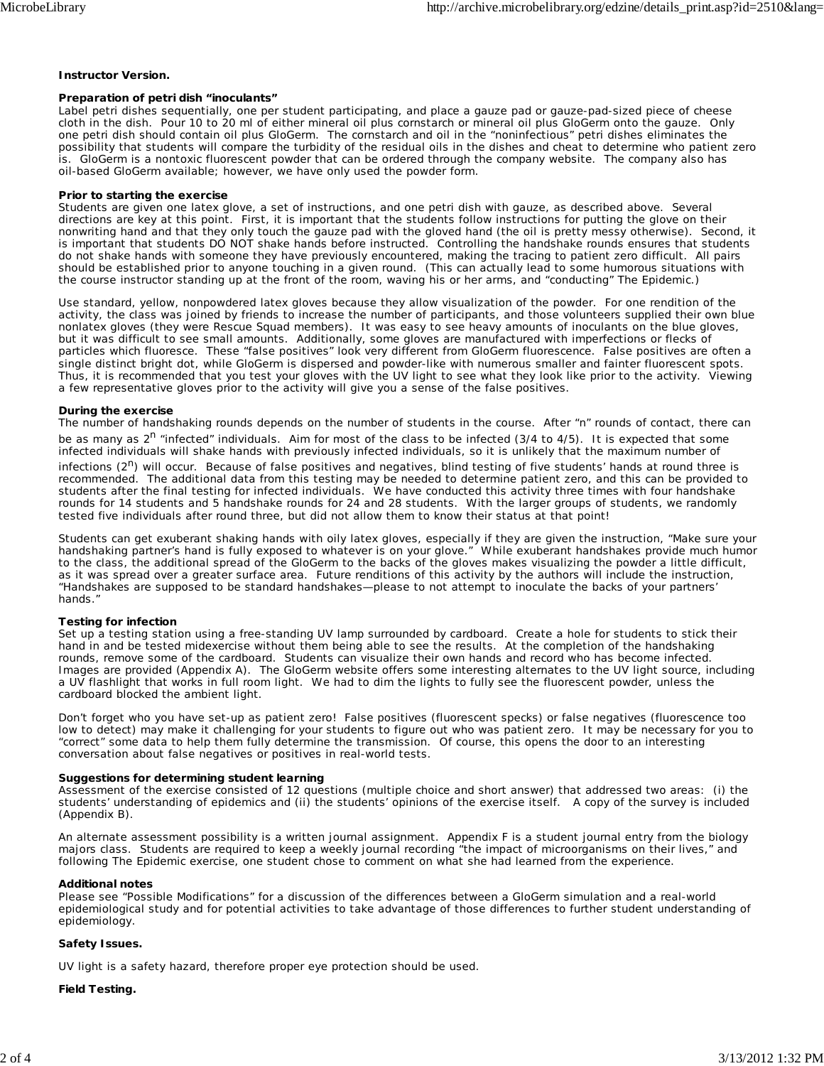#### **Instructor Version.**

#### **Preparation of petri dish "inoculants"**

Label petri dishes sequentially, one per student participating, and place a gauze pad or gauze-pad-sized piece of cheese cloth in the dish. Pour 10 to 20 ml of either mineral oil plus cornstarch or mineral oil plus GloGerm onto the gauze. Only one petri dish should contain oil plus GloGerm. The cornstarch and oil in the "noninfectious" petri dishes eliminates the possibility that students will compare the turbidity of the residual oils in the dishes and cheat to determine who patient zero is. GloGerm is a nontoxic fluorescent powder that can be ordered through the company website. The company also has oil-based GloGerm available; however, we have only used the powder form.

#### **Prior to starting the exercise**

Students are given one latex glove, a set of instructions, and one petri dish with gauze, as described above. Several directions are key at this point. First, it is important that the students follow instructions for putting the glove on their nonwriting hand and that they only touch the gauze pad with the gloved hand (the oil is pretty messy otherwise). Second, it is important that students DO NOT shake hands before instructed. Controlling the handshake rounds ensures that students do not shake hands with someone they have previously encountered, making the tracing to patient zero difficult. All pairs should be established prior to anyone touching in a given round. (This can actually lead to some humorous situations with the course instructor standing up at the front of the room, waving his or her arms, and "conducting" The Epidemic.)

Use standard, yellow, nonpowdered latex gloves because they allow visualization of the powder. For one rendition of the activity, the class was joined by friends to increase the number of participants, and those volunteers supplied their own blue nonlatex gloves (they were Rescue Squad members). It was easy to see heavy amounts of inoculants on the blue gloves, but it was difficult to see small amounts. Additionally, some gloves are manufactured with imperfections or flecks of particles which fluoresce. These "false positives" look very different from GloGerm fluorescence. False positives are often a single distinct bright dot, while GloGerm is dispersed and powder-like with numerous smaller and fainter fluorescent spots. Thus, it is recommended that you test your gloves with the UV light to see what they look like prior to the activity. Viewing a few representative gloves prior to the activity will give you a sense of the false positives.

#### **During the exercise**

The number of handshaking rounds depends on the number of students in the course. After "n" rounds of contact, there can be as many as  $2^n$  "infected" individuals. Aim for most of the class to be infected (3/4 to 4/5). It is expected that some infected individuals will shake hands with previously infected individuals, so it is unlikely that the maximum number of

infections (2<sup>n</sup>) will occur. Because of false positives and negatives, blind testing of five students' hands at round three is recommended. The additional data from this testing may be needed to determine patient zero, and this can be provided to students after the final testing for infected individuals. We have conducted this activity three times with four handshake rounds for 14 students and 5 handshake rounds for 24 and 28 students. With the larger groups of students, we randomly tested five individuals after round three, but did not allow them to know their status at that point!

Students can get exuberant shaking hands with oily latex gloves, especially if they are given the instruction, "Make sure your handshaking partner's hand is fully exposed to whatever is on your glove." While exuberant handshakes provide much humor to the class, the additional spread of the GloGerm to the backs of the gloves makes visualizing the powder a little difficult, as it was spread over a greater surface area. Future renditions of this activity by the authors will include the instruction, "Handshakes are supposed to be standard handshakes—please to not attempt to inoculate the backs of your partners' hands."

#### **Testing for infection**

Set up a testing station using a free-standing UV lamp surrounded by cardboard. Create a hole for students to stick their hand in and be tested midexercise without them being able to see the results. At the completion of the handshaking rounds, remove some of the cardboard. Students can visualize their own hands and record who has become infected. Images are provided (Appendix A). The GloGerm website offers some interesting alternates to the UV light source, including a UV flashlight that works in full room light. We had to dim the lights to fully see the fluorescent powder, unless the cardboard blocked the ambient light.

Don't forget who you have set-up as patient zero! False positives (fluorescent specks) or false negatives (fluorescence too low to detect) may make it challenging for your students to figure out who was patient zero. It may be necessary for you to "correct" some data to help them fully determine the transmission. Of course, this opens the door to an interesting conversation about false negatives or positives in real-world tests.

#### **Suggestions for determining student learning**

Assessment of the exercise consisted of 12 questions (multiple choice and short answer) that addressed two areas: (i) the students' understanding of epidemics and (ii) the students' opinions of the exercise itself. A copy of the survey is included (Appendix B).

An alternate assessment possibility is a written journal assignment. Appendix F is a student journal entry from the biology majors class. Students are required to keep a weekly journal recording "the impact of microorganisms on their lives," and following The Epidemic exercise, one student chose to comment on what she had learned from the experience.

#### **Additional notes**

Please see "Possible Modifications" for a discussion of the differences between a GloGerm simulation and a real-world epidemiological study and for potential activities to take advantage of those differences to further student understanding of epidemiology.

#### **Safety Issues.**

UV light is a safety hazard, therefore proper eye protection should be used.

#### **Field Testing.**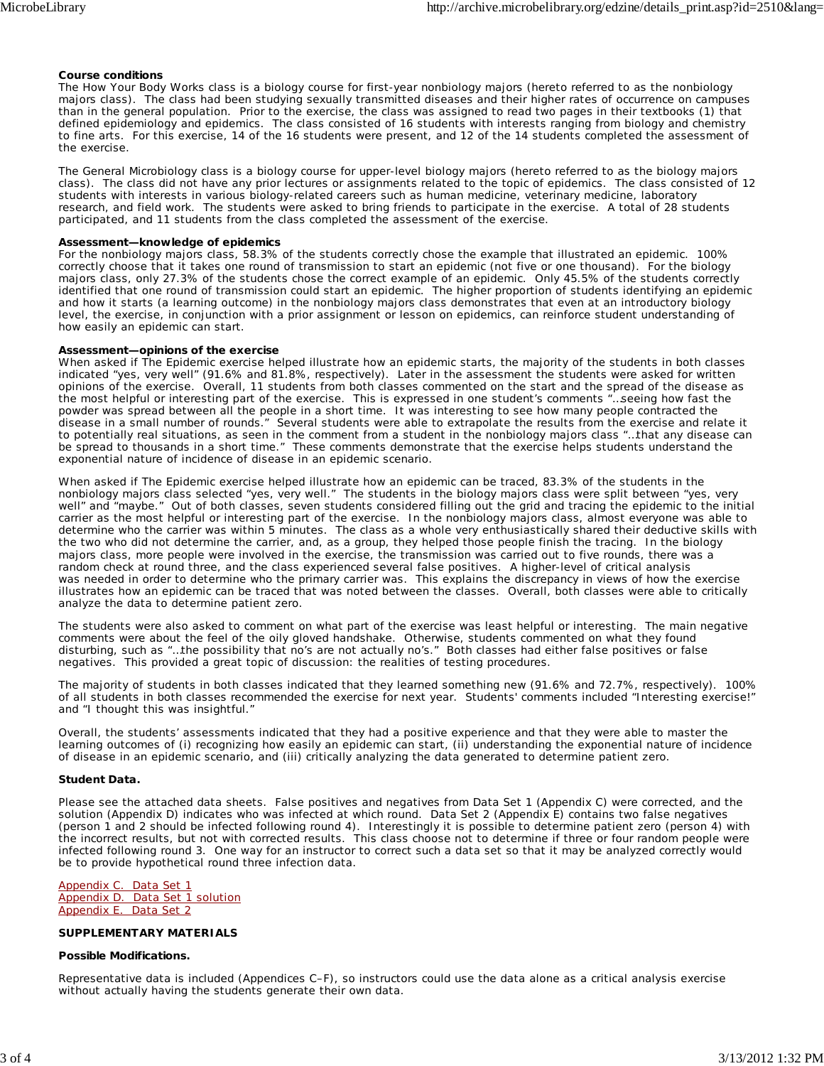#### **Course conditions**

The How Your Body Works class is a biology course for first-year nonbiology majors (hereto referred to as the nonbiology majors class). The class had been studying sexually transmitted diseases and their higher rates of occurrence on campuses than in the general population. Prior to the exercise, the class was assigned to read two pages in their textbooks (1) that defined epidemiology and epidemics. The class consisted of 16 students with interests ranging from biology and chemistry to fine arts. For this exercise, 14 of the 16 students were present, and 12 of the 14 students completed the assessment of the exercise.

The General Microbiology class is a biology course for upper-level biology majors (hereto referred to as the biology majors class). The class did not have any prior lectures or assignments related to the topic of epidemics. The class consisted of 12 students with interests in various biology-related careers such as human medicine, veterinary medicine, laboratory research, and field work. The students were asked to bring friends to participate in the exercise. A total of 28 students participated, and 11 students from the class completed the assessment of the exercise.

#### **Assessment—knowledge of epidemics**

For the nonbiology majors class, 58.3% of the students correctly chose the example that illustrated an epidemic. 100% correctly choose that it takes one round of transmission to start an epidemic (not five or one thousand). For the biology majors class, only 27.3% of the students chose the correct example of an epidemic. Only 45.5% of the students correctly identified that one round of transmission could start an epidemic. The higher proportion of students identifying an epidemic and how it starts (a learning outcome) in the nonbiology majors class demonstrates that even at an introductory biology level, the exercise, in conjunction with a prior assignment or lesson on epidemics, can reinforce student understanding of how easily an epidemic can start.

#### **Assessment—opinions of the exercise**

When asked if The Epidemic exercise helped illustrate how an epidemic starts, the majority of the students in both classes indicated "yes, very well" (91.6% and 81.8%, respectively). Later in the assessment the students were asked for written opinions of the exercise. Overall, 11 students from both classes commented on the start and the spread of the disease as the most helpful or interesting part of the exercise. This is expressed in one student's comments "…seeing how fast the powder was spread between all the people in a short time. It was interesting to see how many people contracted the disease in a small number of rounds." Several students were able to extrapolate the results from the exercise and relate it to potentially real situations, as seen in the comment from a student in the nonbiology majors class "…that any disease can be spread to thousands in a short time." These comments demonstrate that the exercise helps students understand the exponential nature of incidence of disease in an epidemic scenario.

When asked if The Epidemic exercise helped illustrate how an epidemic can be traced, 83.3% of the students in the nonbiology majors class selected "yes, very well." The students in the biology majors class were split between "yes, very well" and "maybe." Out of both classes, seven students considered filling out the grid and tracing the epidemic to the initial carrier as the most helpful or interesting part of the exercise. In the nonbiology majors class, almost everyone was able to determine who the carrier was within 5 minutes. The class as a whole very enthusiastically shared their deductive skills with the two who did not determine the carrier, and, as a group, they helped those people finish the tracing. In the biology majors class, more people were involved in the exercise, the transmission was carried out to five rounds, there was a random check at round three, and the class experienced several false positives. A higher-level of critical analysis was needed in order to determine who the primary carrier was. This explains the discrepancy in views of how the exercise illustrates how an epidemic can be traced that was noted between the classes. Overall, both classes were able to critically analyze the data to determine patient zero.

The students were also asked to comment on what part of the exercise was least helpful or interesting. The main negative comments were about the feel of the oily gloved handshake. Otherwise, students commented on what they found disturbing, such as "…the possibility that no's are not actually no's." Both classes had either false positives or false negatives. This provided a great topic of discussion: the realities of testing procedures.

The majority of students in both classes indicated that they learned something new (91.6% and 72.7%, respectively). 100% of all students in both classes recommended the exercise for next year. Students' comments included "Interesting exercise!" and "I thought this was insightful."

Overall, the students' assessments indicated that they had a positive experience and that they were able to master the learning outcomes of (i) recognizing how easily an epidemic can start, (ii) understanding the exponential nature of incidence of disease in an epidemic scenario, and (iii) critically analyzing the data generated to determine patient zero.

#### **Student Data.**

Please see the attached data sheets. False positives and negatives from Data Set 1 (Appendix C) were corrected, and the solution (Appendix D) indicates who was infected at which round. Data Set 2 (Appendix E) contains two false negatives (person 1 and 2 should be infected following round 4). Interestingly it is possible to determine patient zero (person 4) with the incorrect results, but not with corrected results. This class choose not to determine if three or four random people were infected following round 3. One way for an instructor to correct such a data set so that it may be analyzed correctly would be to provide hypothetical round three infection data.

#### Appendix C. Data Set 1 Appendix D. Data Set 1 solution Appendix E. Data Set 2

#### **SUPPLEMENTARY MATERIALS**

#### **Possible Modifications.**

Representative data is included (Appendices C–F), so instructors could use the data alone as a critical analysis exercise without actually having the students generate their own data.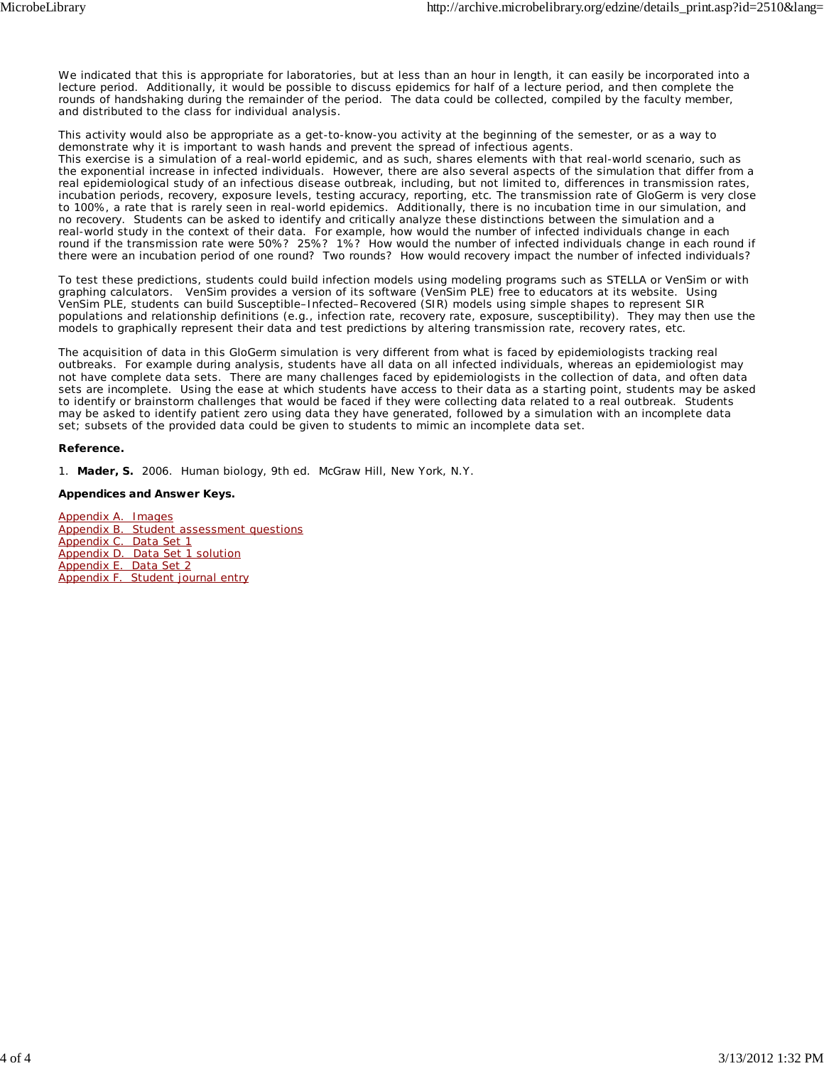We indicated that this is appropriate for laboratories, but at less than an hour in length, it can easily be incorporated into a lecture period. Additionally, it would be possible to discuss epidemics for half of a lecture period, and then complete the rounds of handshaking during the remainder of the period. The data could be collected, compiled by the faculty member, and distributed to the class for individual analysis.

This activity would also be appropriate as a get-to-know-you activity at the beginning of the semester, or as a way to demonstrate why it is important to wash hands and prevent the spread of infectious agents. This exercise is a simulation of a real-world epidemic, and as such, shares elements with that real-world scenario, such as the exponential increase in infected individuals. However, there are also several aspects of the simulation that differ from a real epidemiological study of an infectious disease outbreak, including, but not limited to, differences in transmission rates, incubation periods, recovery, exposure levels, testing accuracy, reporting, etc. The transmission rate of GloGerm is very close to 100%, a rate that is rarely seen in real-world epidemics. Additionally, there is no incubation time in our simulation, and no recovery. Students can be asked to identify and critically analyze these distinctions between the simulation and a real-world study in the context of their data. For example, how would the number of infected individuals change in each round if the transmission rate were 50%? 25%? 1%? How would the number of infected individuals change in each round if there were an incubation period of one round? Two rounds? How would recovery impact the number of infected individuals?

To test these predictions, students could build infection models using modeling programs such as STELLA or VenSim or with graphing calculators. VenSim provides a version of its software (VenSim PLE) free to educators at its website. Using VenSim PLE, students can build Susceptible–Infected–Recovered (SIR) models using simple shapes to represent SIR populations and relationship definitions (e.g., infection rate, recovery rate, exposure, susceptibility). They may then use the models to graphically represent their data and test predictions by altering transmission rate, recovery rates, etc.

The acquisition of data in this GloGerm simulation is very different from what is faced by epidemiologists tracking real outbreaks. For example during analysis, students have all data on all infected individuals, whereas an epidemiologist may not have complete data sets. There are many challenges faced by epidemiologists in the collection of data, and often data sets are incomplete. Using the ease at which students have access to their data as a starting point, students may be asked to identify or brainstorm challenges that would be faced if they were collecting data related to a real outbreak. Students may be asked to identify patient zero using data they have generated, followed by a simulation with an incomplete data set; subsets of the provided data could be given to students to mimic an incomplete data set.

#### **Reference.**

1. **Mader, S.** 2006. Human biology, 9th ed. McGraw Hill, New York, N.Y.

#### **Appendices and Answer Keys.**

Appendix A. Images Appendix B. Student assessment questions Appendix C. Data Set 1 Appendix D. Data Set 1 solution Appendix E. Data Set 2 Appendix F. Student journal entry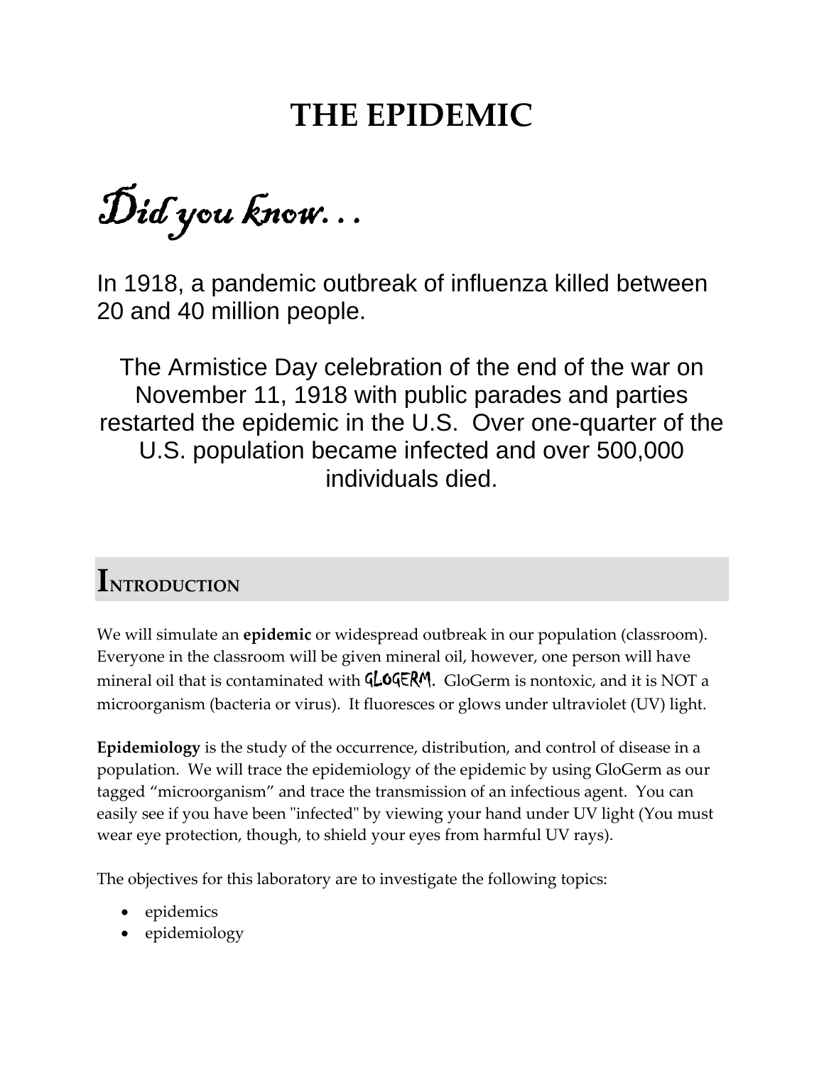# **THE EPIDEMIC**

Did you know…

In 1918, a pandemic outbreak of influenza killed between 20 and 40 million people.

The Armistice Day celebration of the end of the war on November 11, 1918 with public parades and parties restarted the epidemic in the U.S. Over one-quarter of the U.S. population became infected and over 500,000 individuals died.

# **INTRODUCTION**

We will simulate an **epidemic** or widespread outbreak in our population (classroom). Everyone in the classroom will be given mineral oil, however, one person will have mineral oil that is contaminated with **GLOGERM**. GloGerm is nontoxic, and it is NOT a microorganism (bacteria or virus). It fluoresces or glows under ultraviolet (UV) light.

**Epidemiology** is the study of the occurrence, distribution, and control of disease in a population. We will trace the epidemiology of the epidemic by using GloGerm as our tagged "microorganism" and trace the transmission of an infectious agent. You can easily see if you have been "infected" by viewing your hand under UV light (You must wear eye protection, though, to shield your eyes from harmful UV rays).

The objectives for this laboratory are to investigate the following topics:

- epidemics
- epidemiology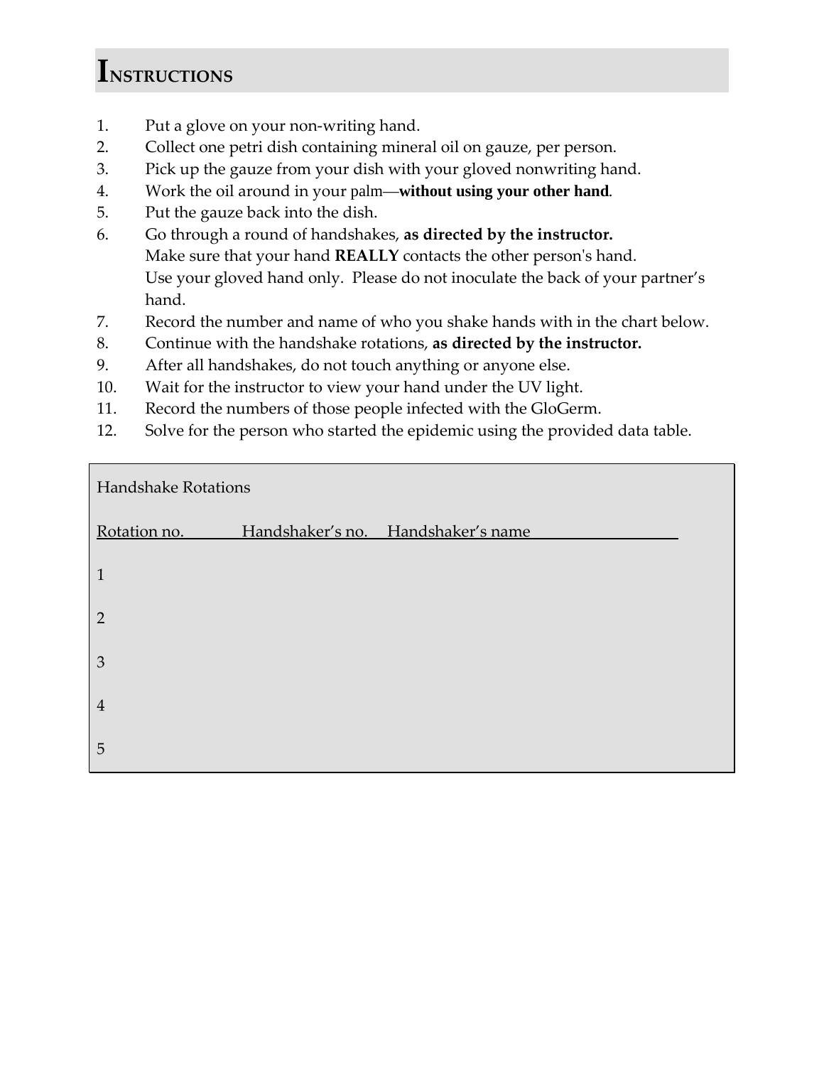# **INSTRUCTIONS**

- 1. Put a glove on your non‐writing hand.
- 2. Collect one petri dish containing mineral oil on gauze, per person.
- 3. Pick up the gauze from your dish with your gloved nonwriting hand.
- 4. Work the oil around in your palm—**without using your other hand***.*
- 5. Put the gauze back into the dish.
- 6. Go through a round of handshakes, **as directed by the instructor.** Make sure that your hand **REALLY** contacts the other personʹs hand. Use your gloved hand only. Please do not inoculate the back of your partner's hand.
- 7. Record the number and name of who you shake hands with in the chart below.
- 8. Continue with the handshake rotations, **as directed by the instructor.**
- 9. After all handshakes, do not touch anything or anyone else.
- 10. Wait for the instructor to view your hand under the UV light.
- 11. Record the numbers of those people infected with the GloGerm.
- 12. Solve for the person who started the epidemic using the provided data table.

| Handshake Rotations |  |                                    |  |  |  |  |  |
|---------------------|--|------------------------------------|--|--|--|--|--|
| Rotation no.        |  | Handshaker's no. Handshaker's name |  |  |  |  |  |
| $\mathbf{1}$        |  |                                    |  |  |  |  |  |
| $\overline{2}$      |  |                                    |  |  |  |  |  |
| $\mathfrak{Z}$      |  |                                    |  |  |  |  |  |
| $\overline{4}$      |  |                                    |  |  |  |  |  |
| 5                   |  |                                    |  |  |  |  |  |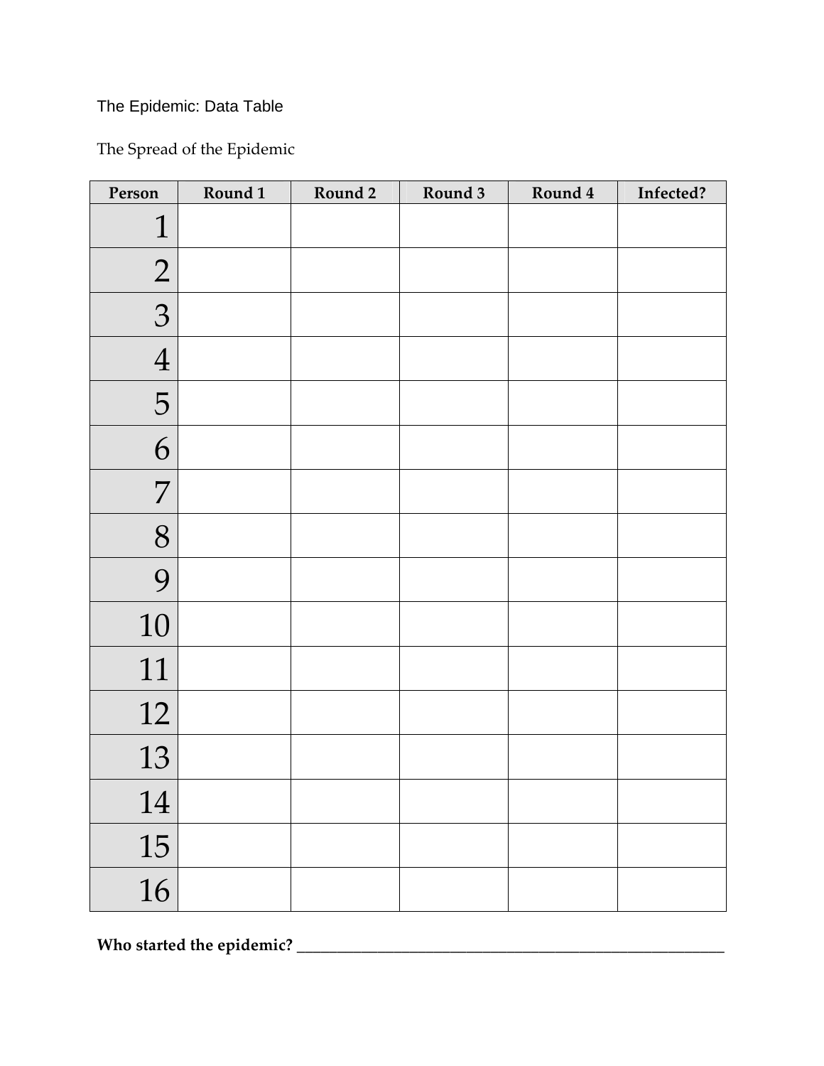# The Epidemic: Data Table

The Spread of the Epidemic

| Person         | Round 1 | Round 2 | Round 3 | Round 4 | Infected? |
|----------------|---------|---------|---------|---------|-----------|
| $\mathbf 1$    |         |         |         |         |           |
| $\overline{2}$ |         |         |         |         |           |
| 3              |         |         |         |         |           |
| $\overline{4}$ |         |         |         |         |           |
| 5              |         |         |         |         |           |
| 6              |         |         |         |         |           |
| 7              |         |         |         |         |           |
| 8              |         |         |         |         |           |
| 9              |         |         |         |         |           |
| 10             |         |         |         |         |           |
| 11             |         |         |         |         |           |
| 12             |         |         |         |         |           |
| 13             |         |         |         |         |           |
| 14             |         |         |         |         |           |
| 15             |         |         |         |         |           |
| 16             |         |         |         |         |           |

**Who started the epidemic? \_\_\_\_\_\_\_\_\_\_\_\_\_\_\_\_\_\_\_\_\_\_\_\_\_\_\_\_\_\_\_\_\_\_\_\_\_\_\_\_\_\_\_\_\_\_\_\_\_\_\_\_\_**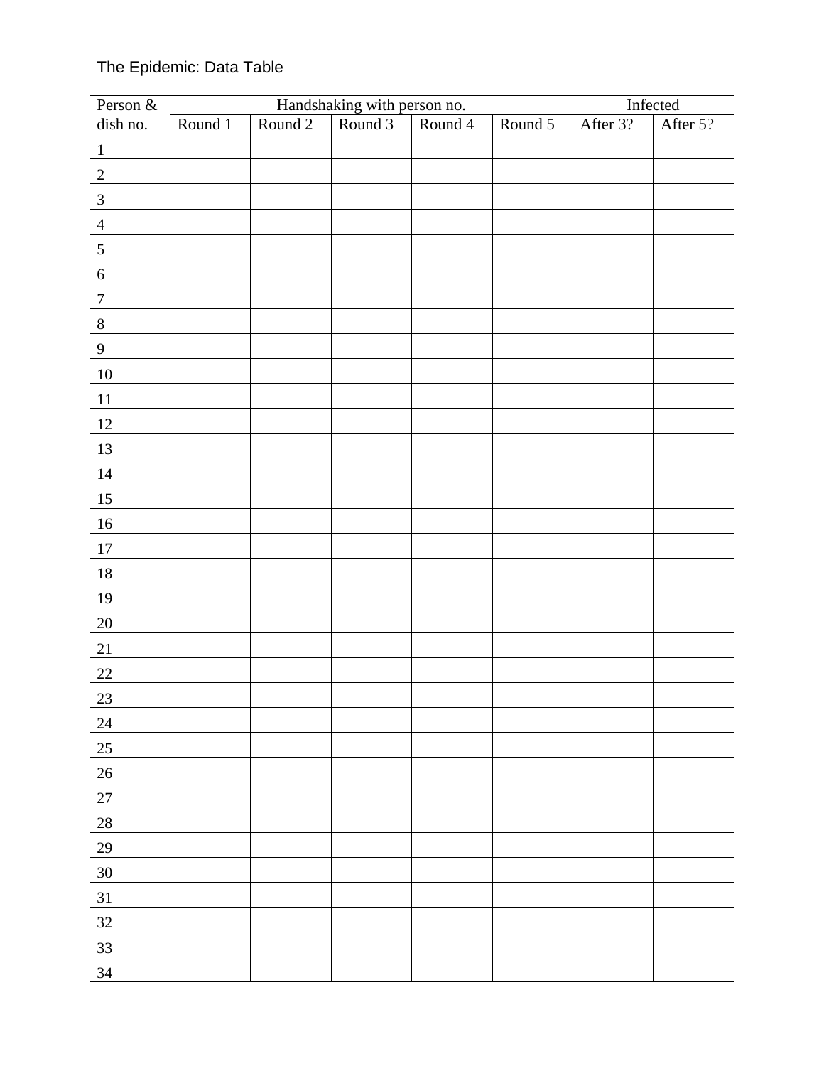# The Epidemic: Data Table

| Person $\&$      |         |         | Infected                                              |         |         |          |          |
|------------------|---------|---------|-------------------------------------------------------|---------|---------|----------|----------|
| dish no.         | Round 1 | Round 2 | Handshaking with person no.<br>bund 2 Round 3 Round 4 | Round 4 | Round 5 | After 3? | After 5? |
| $\mathbf 1$      |         |         |                                                       |         |         |          |          |
| $\overline{2}$   |         |         |                                                       |         |         |          |          |
| $\mathfrak{Z}$   |         |         |                                                       |         |         |          |          |
| $\overline{4}$   |         |         |                                                       |         |         |          |          |
| $\sqrt{5}$       |         |         |                                                       |         |         |          |          |
| $\boldsymbol{6}$ |         |         |                                                       |         |         |          |          |
| $\boldsymbol{7}$ |         |         |                                                       |         |         |          |          |
| $\,8\,$          |         |         |                                                       |         |         |          |          |
| $\mathbf{9}$     |         |         |                                                       |         |         |          |          |
| $10\,$           |         |         |                                                       |         |         |          |          |
| $11\,$           |         |         |                                                       |         |         |          |          |
| $12\,$           |         |         |                                                       |         |         |          |          |
| 13               |         |         |                                                       |         |         |          |          |
| 14               |         |         |                                                       |         |         |          |          |
| $15\,$           |         |         |                                                       |         |         |          |          |
| $16\,$           |         |         |                                                       |         |         |          |          |
| $17\,$           |         |         |                                                       |         |         |          |          |
| $18\,$           |         |         |                                                       |         |         |          |          |
| 19               |         |         |                                                       |         |         |          |          |
| $20\,$           |         |         |                                                       |         |         |          |          |
| $21\,$           |         |         |                                                       |         |         |          |          |
| $22\,$           |         |         |                                                       |         |         |          |          |
| 23               |         |         |                                                       |         |         |          |          |
| $24\,$           |         |         |                                                       |         |         |          |          |
| 25               |         |         |                                                       |         |         |          |          |
| $26\,$           |         |         |                                                       |         |         |          |          |
| $27\,$           |         |         |                                                       |         |         |          |          |
| $28\,$           |         |         |                                                       |         |         |          |          |
| 29               |         |         |                                                       |         |         |          |          |
| $30\,$           |         |         |                                                       |         |         |          |          |
| 31               |         |         |                                                       |         |         |          |          |
| 32               |         |         |                                                       |         |         |          |          |
| 33               |         |         |                                                       |         |         |          |          |
| 34               |         |         |                                                       |         |         |          |          |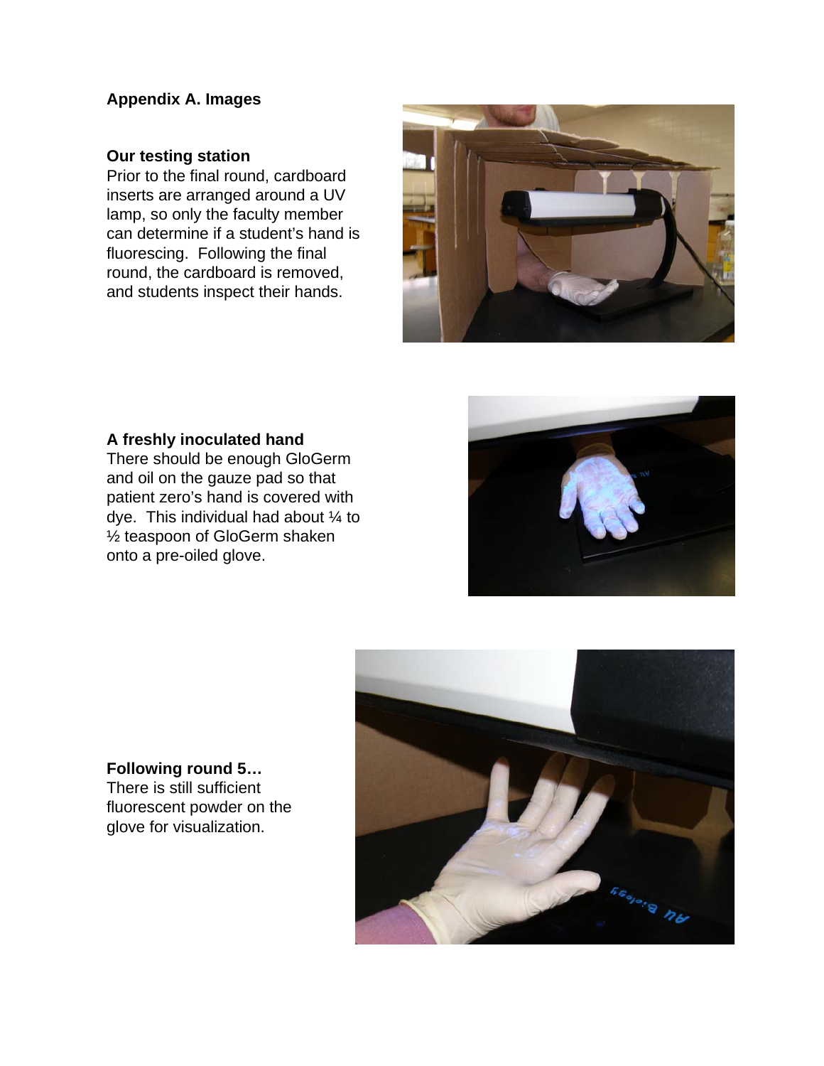# **Appendix A. Images**

## **Our testing station**

Prior to the final round, cardboard inserts are arranged around a UV lamp, so only the faculty member can determine if a student's hand is fluorescing. Following the final round, the cardboard is removed, and students inspect their hands.



## **A freshly inoculated hand**

There should be enough GloGerm and oil on the gauze pad so that patient zero's hand is covered with dye. This individual had about ¼ to ½ teaspoon of GloGerm shaken onto a pre-oiled glove.





# **Following round 5…** There is still sufficient fluorescent powder on the glove for visualization.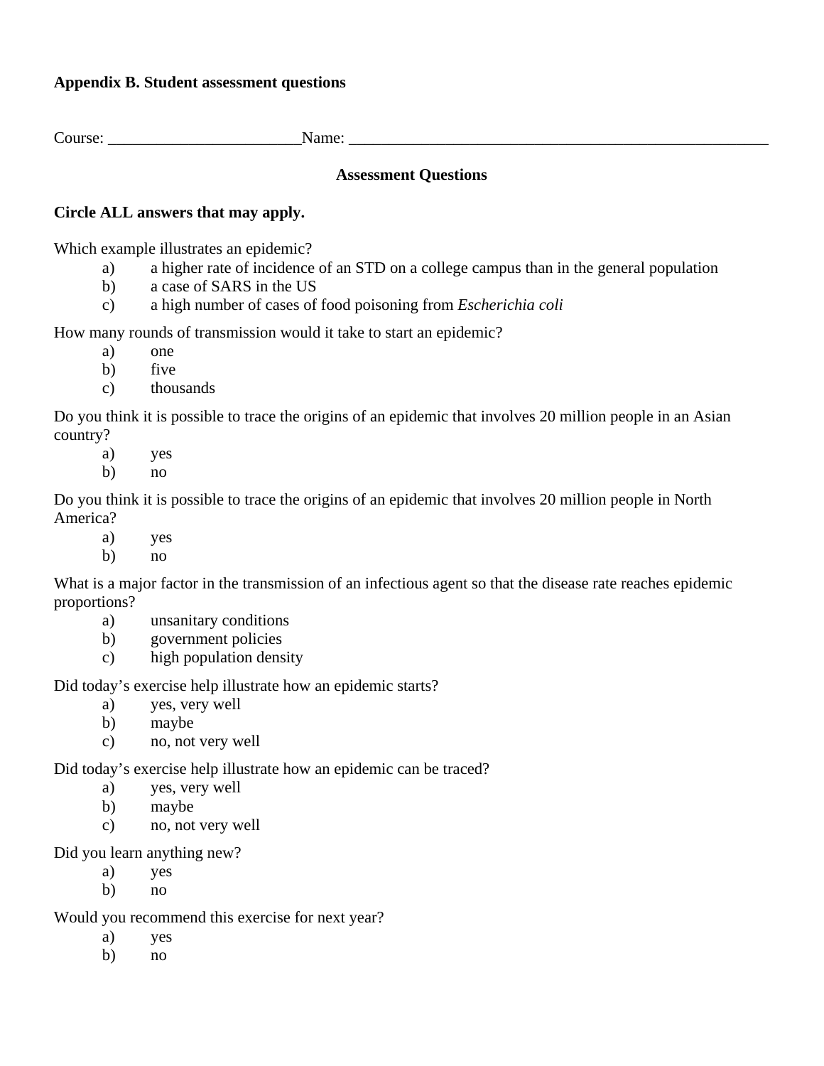## **Appendix B. Student assessment questions**

Course: \_\_\_\_\_\_\_\_\_\_\_\_\_\_\_\_\_\_\_\_\_\_\_\_Name: \_\_\_\_\_\_\_\_\_\_\_\_\_\_\_\_\_\_\_\_\_\_\_\_\_\_\_\_\_\_\_\_\_\_\_\_\_\_\_\_\_\_\_\_\_\_\_\_\_\_\_\_

### **Assessment Questions**

### **Circle ALL answers that may apply.**

Which example illustrates an epidemic?

- a) a higher rate of incidence of an STD on a college campus than in the general population
- b) a case of SARS in the US
- c) a high number of cases of food poisoning from *Escherichia coli*

How many rounds of transmission would it take to start an epidemic?

- a) one
- b) five
- c) thousands

Do you think it is possible to trace the origins of an epidemic that involves 20 million people in an Asian country?

- a) yes
- b) no

Do you think it is possible to trace the origins of an epidemic that involves 20 million people in North America?

- a) yes
- b) no

What is a major factor in the transmission of an infectious agent so that the disease rate reaches epidemic proportions?

- a) unsanitary conditions
- b) government policies
- c) high population density

Did today's exercise help illustrate how an epidemic starts?

- a) yes, very well
- b) maybe
- c) no, not very well

Did today's exercise help illustrate how an epidemic can be traced?

- a) yes, very well
- b) maybe
- c) no, not very well

Did you learn anything new?

- a) yes
- b) no

Would you recommend this exercise for next year?

- a) yes
- b) no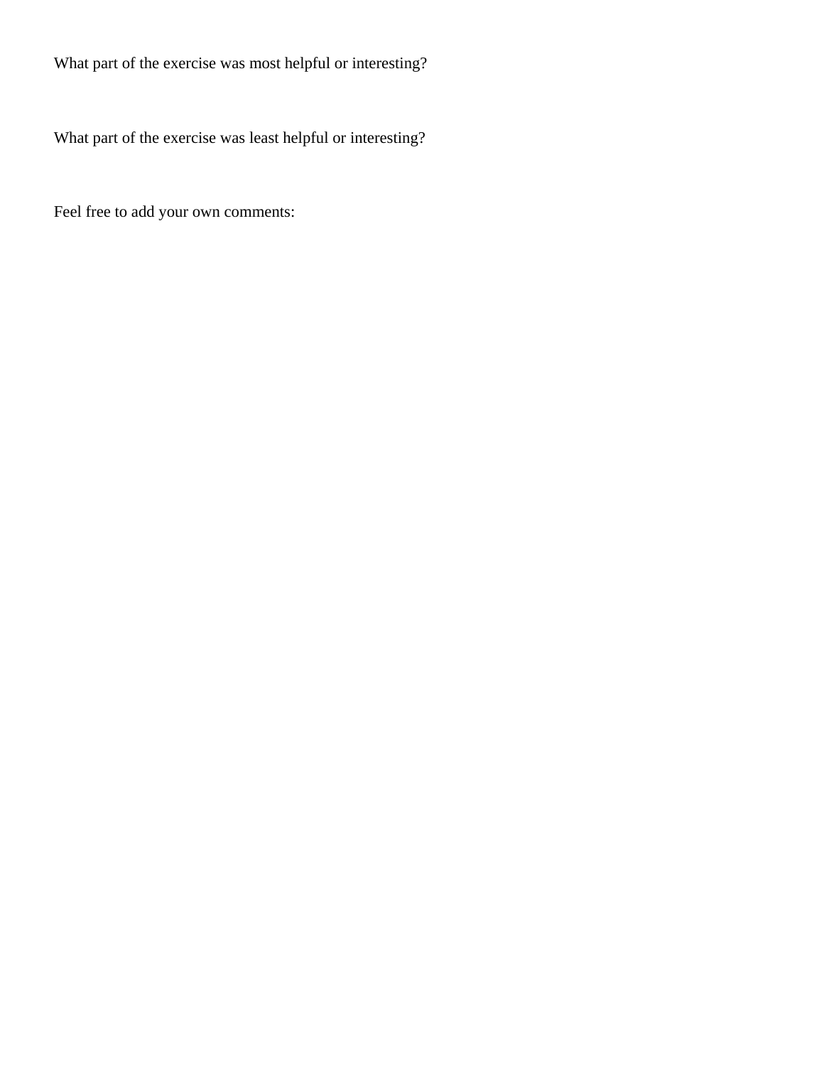What part of the exercise was most helpful or interesting?

What part of the exercise was least helpful or interesting?

Feel free to add your own comments: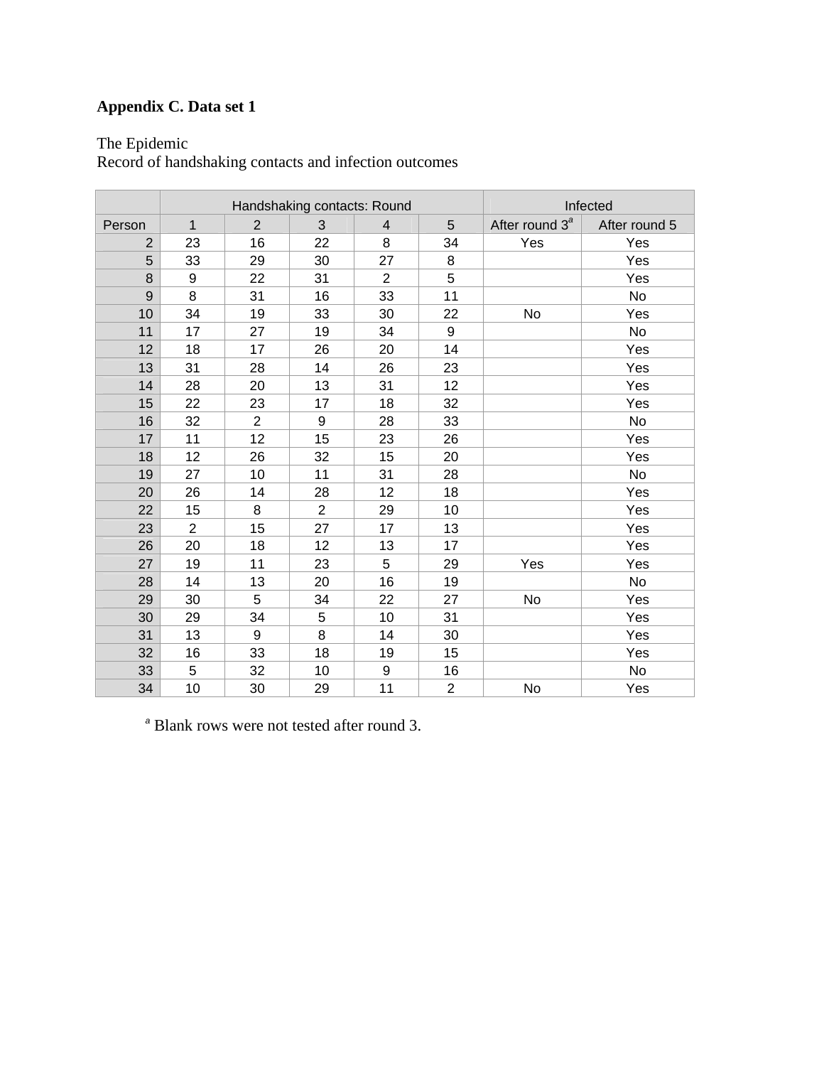# **Appendix C. Data set 1**

The Epidemic

Record of handshaking contacts and infection outcomes

|        | Handshaking contacts: Round |                |                  |                         |                  | Infected                   |               |
|--------|-----------------------------|----------------|------------------|-------------------------|------------------|----------------------------|---------------|
| Person | $\mathbf{1}$                | $\overline{2}$ | 3                | $\overline{\mathbf{4}}$ | 5                | After round 3 <sup>ª</sup> | After round 5 |
| 2      | 23                          | 16             | 22               | 8                       | 34               | Yes                        | Yes           |
| 5      | 33                          | 29             | 30               | 27                      | 8                |                            | Yes           |
| 8      | 9                           | 22             | 31               | $\overline{2}$          | 5                |                            | Yes           |
| 9      | 8                           | 31             | 16               | 33                      | 11               |                            | No            |
| 10     | 34                          | 19             | 33               | 30                      | 22               | No                         | Yes           |
| 11     | 17                          | 27             | 19               | 34                      | $\boldsymbol{9}$ |                            | <b>No</b>     |
| 12     | 18                          | 17             | 26               | 20                      | 14               |                            | Yes           |
| 13     | 31                          | 28             | 14               | 26                      | 23               |                            | Yes           |
| 14     | 28                          | 20             | 13               | 31                      | 12               |                            | Yes           |
| 15     | 22                          | 23             | 17               | 18                      | 32               |                            | Yes           |
| 16     | 32                          | $\overline{2}$ | $\boldsymbol{9}$ | 28                      | 33               |                            | No            |
| 17     | 11                          | 12             | 15               | 23                      | 26               |                            | Yes           |
| 18     | 12                          | 26             | 32               | 15                      | 20               |                            | Yes           |
| 19     | 27                          | 10             | 11               | 31                      | 28               |                            | <b>No</b>     |
| 20     | 26                          | 14             | 28               | 12                      | 18               |                            | Yes           |
| 22     | 15                          | 8              | $\overline{2}$   | 29                      | 10               |                            | Yes           |
| 23     | $\overline{2}$              | 15             | 27               | 17                      | 13               |                            | Yes           |
| 26     | 20                          | 18             | 12               | 13                      | 17               |                            | Yes           |
| 27     | 19                          | 11             | 23               | 5                       | 29               | Yes                        | Yes           |
| 28     | 14                          | 13             | 20               | 16                      | 19               |                            | No            |
| 29     | 30                          | 5              | 34               | 22                      | 27               | No                         | Yes           |
| 30     | 29                          | 34             | 5                | 10                      | 31               |                            | Yes           |
| 31     | 13                          | 9              | 8                | 14                      | 30               |                            | Yes           |
| 32     | 16                          | 33             | 18               | 19                      | 15               |                            | Yes           |
| 33     | 5                           | 32             | 10               | 9                       | 16               |                            | No            |
| 34     | 10                          | 30             | 29               | 11                      | $\overline{2}$   | No                         | Yes           |

*a* Blank rows were not tested after round 3.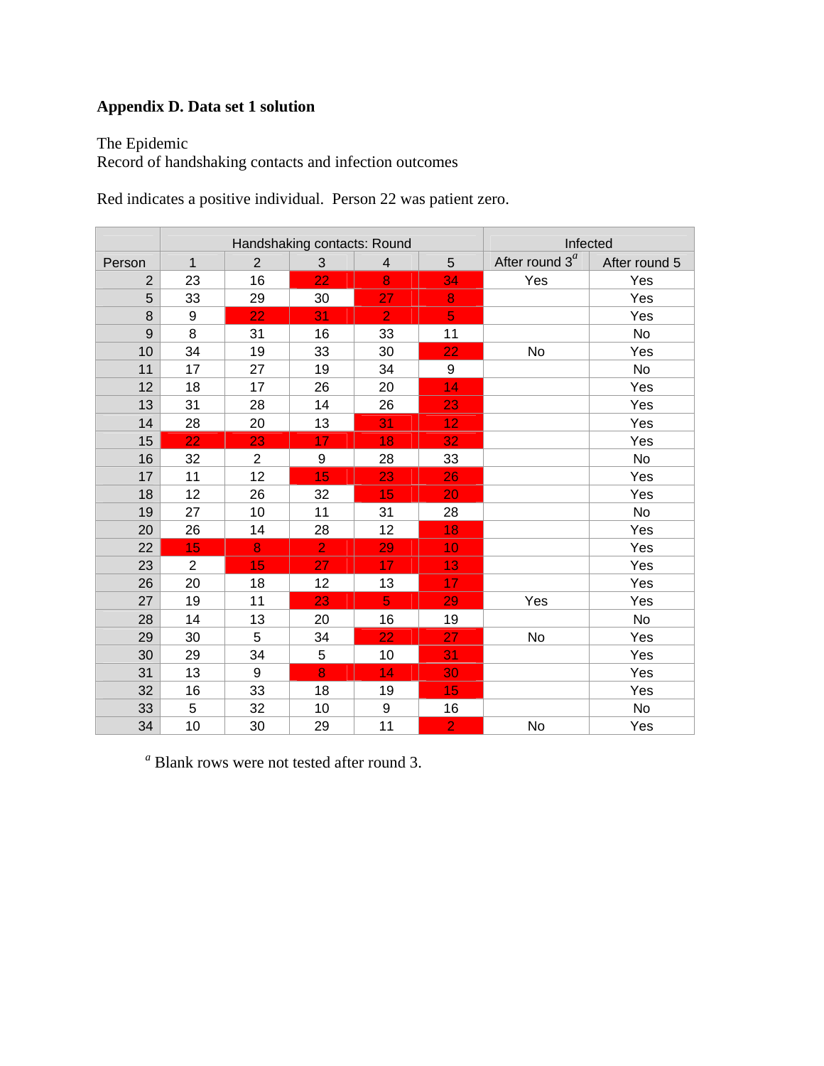# **Appendix D. Data set 1 solution**

The Epidemic

Record of handshaking contacts and infection outcomes

Red indicates a positive individual. Person 22 was patient zero.

|        | Handshaking contacts: Round |                |                  |                |                  | Infected          |               |
|--------|-----------------------------|----------------|------------------|----------------|------------------|-------------------|---------------|
| Person | $\mathbf{1}$                | $\overline{2}$ | $\mathbf{3}$     | $\overline{4}$ | 5                | After round $3^a$ | After round 5 |
| 2      | 23                          | 16             | 22               | 8              | 34               | Yes               | Yes           |
| 5      | 33                          | 29             | 30               | 27             | 8                |                   | Yes           |
| 8      | 9                           | 22             | 31               | $\overline{2}$ | $\overline{5}$   |                   | Yes           |
| 9      | 8                           | 31             | 16               | 33             | 11               |                   | No            |
| 10     | 34                          | 19             | 33               | 30             | 22               | No                | Yes           |
| 11     | 17                          | 27             | 19               | 34             | $\boldsymbol{9}$ |                   | <b>No</b>     |
| 12     | 18                          | 17             | 26               | 20             | 14               |                   | Yes           |
| 13     | 31                          | 28             | 14               | 26             | 23               |                   | Yes           |
| 14     | 28                          | 20             | 13               | 31             | 12 <sub>2</sub>  |                   | Yes           |
| 15     | 22                          | 23             | 17               | 18             | 32               |                   | Yes           |
| 16     | 32                          | $\overline{2}$ | $\boldsymbol{9}$ | 28             | 33               |                   | No            |
| 17     | 11                          | 12             | 15               | 23             | 26               |                   | Yes           |
| 18     | 12                          | 26             | 32               | 15             | 20               |                   | Yes           |
| 19     | 27                          | 10             | 11               | 31             | 28               |                   | No            |
| 20     | 26                          | 14             | 28               | 12             | 18               |                   | Yes           |
| 22     | 15                          | 8              | $\overline{2}$   | 29             | 10               |                   | Yes           |
| 23     | $\overline{2}$              | 15             | 27               | 17             | 13               |                   | Yes           |
| 26     | 20                          | 18             | 12               | 13             | 17               |                   | Yes           |
| 27     | 19                          | 11             | 23               | $\overline{5}$ | 29               | Yes               | Yes           |
| 28     | 14                          | 13             | 20               | 16             | 19               |                   | No            |
| 29     | 30                          | 5              | 34               | 22             | 27               | No                | Yes           |
| 30     | 29                          | 34             | 5                | 10             | 31               |                   | Yes           |
| 31     | 13                          | 9              | 8                | 14             | 30               |                   | Yes           |
| 32     | 16                          | 33             | 18               | 19             | 15               |                   | Yes           |
| 33     | 5                           | 32             | 10               | 9              | 16               |                   | No            |
| 34     | 10                          | 30             | 29               | 11             | $\overline{2}$   | No                | Yes           |

*a* Blank rows were not tested after round 3.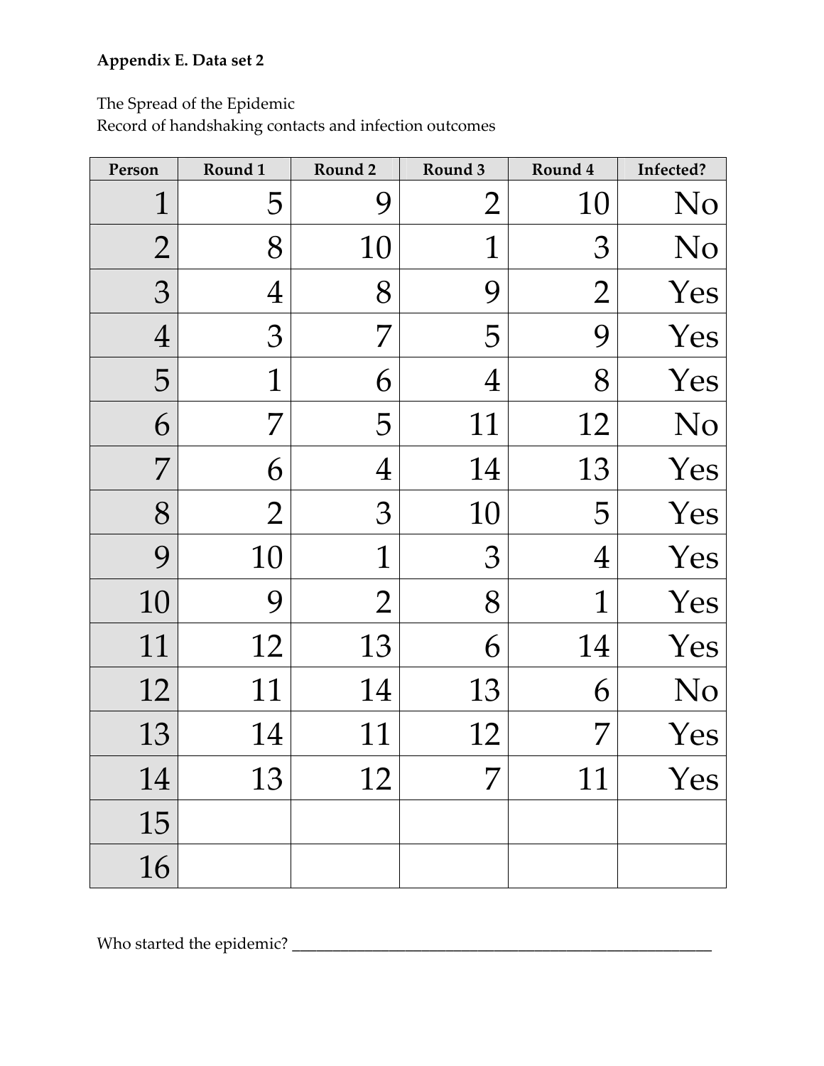# **Appendix E. Data set 2**

The Spread of the Epidemic

Record of handshaking contacts and infection outcomes

| Person         | Round 1        | Round 2      | Round 3        | Round 4          | Infected? |
|----------------|----------------|--------------|----------------|------------------|-----------|
| $\overline{1}$ | 5              | 9            | $\overline{2}$ | 10               | No        |
| $\overline{2}$ | 8              | 10           | 1              | З                | No        |
| 3              | $\overline{4}$ | 8            | 9              | $\overline{2}$   | Yes       |
| $\overline{4}$ | 3              | 7            | 5              | 9                | Yes       |
| 5              | $\mathbb{1}$   | 6            | $\overline{4}$ | 8                | Yes       |
| 6              | 7              | 5            | 11             | 12               | No        |
| 7              | 6              | 4            | 14             | 13               | Yes       |
| 8              | $\overline{2}$ | 3            | 10             | 5                | Yes       |
| 9              | 10             | $\mathbb{1}$ | $\mathfrak{Z}$ | $\boldsymbol{4}$ | Yes       |
| 10             | 9              | 2            | 8              | $\mathbf{1}$     | Yes       |
| 11             | 12             | 13           | 6              | 14               | Yes       |
| 12             | 11             | 14           | 13             | 6                | No        |
| 13             | 14             | 11           | 12             | 7                | Yes       |
| 14             | 13             | 12           | 7              | 11               | Yes       |
| 15             |                |              |                |                  |           |
| 16             |                |              |                |                  |           |

Who started the epidemic? **\_\_\_\_\_\_\_\_\_\_\_\_\_\_\_\_\_\_\_\_\_\_\_\_\_\_\_\_\_\_\_\_\_\_\_\_\_\_\_\_\_\_\_\_\_\_\_\_\_\_\_\_**